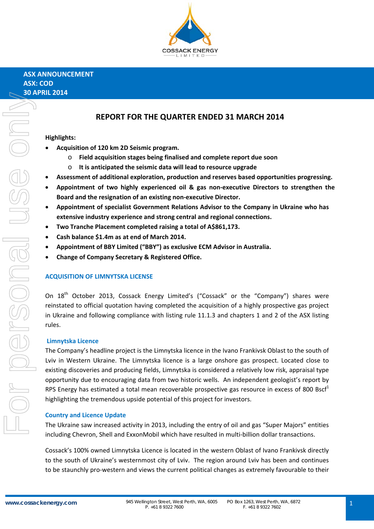

# **REPORT FOR THE QUARTER ENDED 31 MARCH 2014**

## **Highlights:**

- **Acquisition of 120 km 2D Seismic program.**
	- o **Field acquisition stages being finalised and complete report due soon**
	- o **It is anticipated the seismic data will lead to resource upgrade**
- **Assessment of additional exploration, production and reserves based opportunities progressing.**
- **Appointment of two highly experienced oil & gas non‐executive Directors to strengthen the Board and the resignation of an existing non‐executive Director.**
- **Appointment of specialist Government Relations Advisor to the Company in Ukraine who has extensive industry experience and strong central and regional connections.**
- **Two Tranche Placement completed raising a total of A\$861,173.**
- **Cash balance \$1.4m as at end of March 2014.**
- **Appointment of BBY Limited ("BBY") as exclusive ECM Advisor in Australia.**
- **Change of Company Secretary & Registered Office.**

#### **ACQUISITION OF LIMNYTSKA LICENSE**

On 18<sup>th</sup> October 2013, Cossack Energy Limited's ("Cossack" or the "Company") shares were reinstated to official quotation having completed the acquisition of a highly prospective gas project in Ukraine and following compliance with listing rule 11.1.3 and chapters 1 and 2 of the ASX listing rules.

#### **Limnytska Licence**

The Company's headline project is the Limnytska licence in the Ivano Frankivsk Oblast to the south of Lviv in Western Ukraine. The Limnytska licence is a large onshore gas prospect. Located close to existing discoveries and producing fields, Limnytska is considered a relatively low risk, appraisal type opportunity due to encouraging data from two historic wells. An independent geologist's report by RPS Energy has estimated a total mean recoverable prospective gas resource in excess of 800 Bsc $f<sup>1</sup>$ highlighting the tremendous upside potential of this project for investors.

#### **Country and Licence Update**

The Ukraine saw increased activity in 2013, including the entry of oil and gas "Super Majors" entities including Chevron, Shell and ExxonMobil which have resulted in multi‐billion dollar transactions.

Cossack's 100% owned Limnytska Licence is located in the western Oblast of Ivano Frankivsk directly to the south of Ukraine's westernmost city of Lviv. The region around Lviv has been and continues to be staunchly pro-western and views the current political changes as extremely favourable to their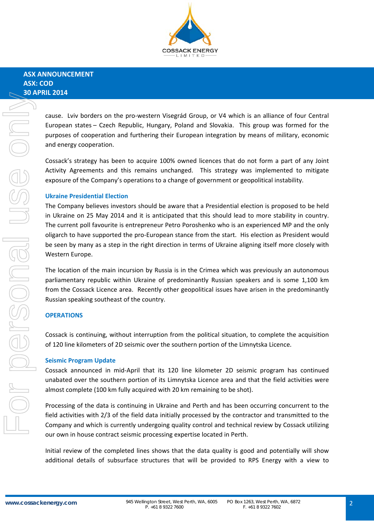

cause. Lviv borders on the pro‐western Visegrád Group, or V4 which is an alliance of four Central European states – Czech Republic, Hungary, Poland and Slovakia. This group was formed for the purposes of cooperation and furthering their European integration by means of military, economic and energy cooperation.

Cossack's strategy has been to acquire 100% owned licences that do not form a part of any Joint Activity Agreements and this remains unchanged. This strategy was implemented to mitigate exposure of the Company's operations to a change of government or geopolitical instability.

## **Ukraine Presidential Election**

The Company believes investors should be aware that a Presidential election is proposed to be held in Ukraine on 25 May 2014 and it is anticipated that this should lead to more stability in country. The current poll favourite is entrepreneur Petro Poroshenko who is an experienced MP and the only oligarch to have supported the pro‐European stance from the start. His election as President would be seen by many as a step in the right direction in terms of Ukraine aligning itself more closely with Western Europe.

The location of the main incursion by Russia is in the Crimea which was previously an autonomous parliamentary republic within Ukraine of predominantly Russian speakers and is some 1,100 km from the Cossack Licence area. Recently other geopolitical issues have arisen in the predominantly Russian speaking southeast of the country.

#### **OPERATIONS**

Cossack is continuing, without interruption from the political situation, to complete the acquisition of 120 line kilometers of 2D seismic over the southern portion of the Limnytska Licence.

#### **Seismic Program Update**

Cossack announced in mid‐April that its 120 line kilometer 2D seismic program has continued unabated over the southern portion of its Limnytska Licence area and that the field activities were almost complete (100 km fully acquired with 20 km remaining to be shot).

Processing of the data is continuing in Ukraine and Perth and has been occurring concurrent to the field activities with 2/3 of the field data initially processed by the contractor and transmitted to the Company and which is currently undergoing quality control and technical review by Cossack utilizing our own in house contract seismic processing expertise located in Perth.

Initial review of the completed lines shows that the data quality is good and potentially will show additional details of subsurface structures that will be provided to RPS Energy with a view to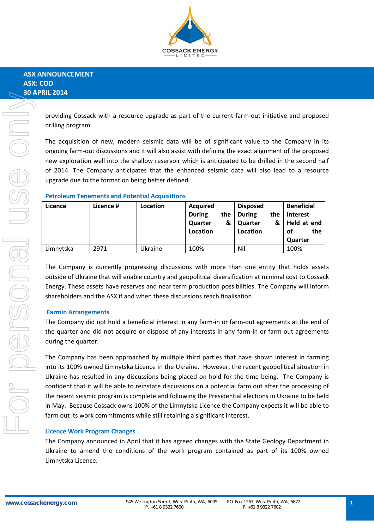

providing Cossack with a resource upgrade as part of the current farm‐out initiative and proposed drilling program.

The acquisition of new, modern seismic data will be of significant value to the Company in its ongoing farm‐out discussions and it will also assist with defining the exact alignment of the proposed new exploration well into the shallow reservoir which is anticipated to be drilled in the second half of 2014. The Company anticipates that the enhanced seismic data will also lead to a resource upgrade due to the formation being better defined.

## **Petroleum Tenements and Potential Acquisitions**

| Licence   | Licence # | Location | <b>Acquired</b><br><b>During</b><br>the<br>Quarter<br>&<br>Location | <b>Disposed</b><br><b>During</b><br>the<br>Quarter<br>&<br>Location | <b>Beneficial</b><br><b>Interest</b><br>Held at end<br>the<br>οf<br><b>Quarter</b> |
|-----------|-----------|----------|---------------------------------------------------------------------|---------------------------------------------------------------------|------------------------------------------------------------------------------------|
| Limnytska | 2971      | Ukraine  | 100%                                                                | Nil                                                                 | 100%                                                                               |

The Company is currently progressing discussions with more than one entity that holds assets outside of Ukraine that will enable country and geopolitical diversification at minimal cost to Cossack Energy. These assets have reserves and near term production possibilities. The Company will inform shareholders and the ASX if and when these discussions reach finalisation.

## **Farmin Arrangements**

The Company did not hold a beneficial interest in any farm-in or farm-out agreements at the end of the quarter and did not acquire or dispose of any interests in any farm‐in or farm‐out agreements during the quarter.

The Company has been approached by multiple third parties that have shown interest in farming into its 100% owned Limnytska Licence in the Ukraine. However, the recent geopolitical situation in Ukraine has resulted in any discussions being placed on hold for the time being. The Company is confident that it will be able to reinstate discussions on a potential farm out after the processing of the recent seismic program is complete and following the Presidential elections in Ukraine to be held in May. Because Cossack owns 100% of the Limnytska Licence the Company expects it will be able to farm out its work commitments while still retaining a significant interest.

#### **Licence Work Program Changes**

The Company announced in April that it has agreed changes with the State Geology Department in Ukraine to amend the conditions of the work program contained as part of its 100% owned Limnytska Licence.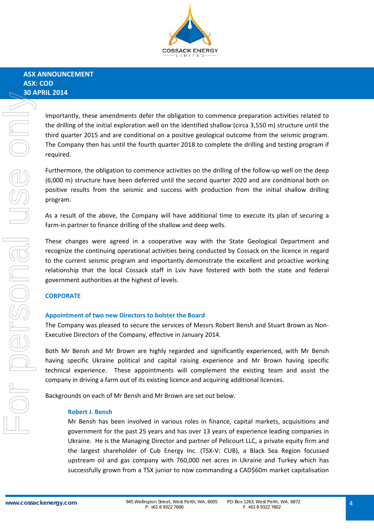

Importantly, these amendments defer the obligation to commence preparation activities related to the drilling of the initial exploration well on the identified shallow (circa 3,550 m) structure until the third quarter 2015 and are conditional on a positive geological outcome from the seismic program. The Company then has until the fourth quarter 2018 to complete the drilling and testing program if required.

Furthermore, the obligation to commence activities on the drilling of the follow‐up well on the deep (6,000 m) structure have been deferred until the second quarter 2020 and are conditional both on positive results from the seismic and success with production from the initial shallow drilling program.

As a result of the above, the Company will have additional time to execute its plan of securing a farm-in partner to finance drilling of the shallow and deep wells.

These changes were agreed in a cooperative way with the State Geological Department and recognize the continuing operational activities being conducted by Cossack on the licence in regard to the current seismic program and importantly demonstrate the excellent and proactive working relationship that the local Cossack staff in Lviv have fostered with both the state and federal government authorities at the highest of levels.

#### **CORPORATE**

#### **Appointment of two new Directors to bolster the Board**

The Company was pleased to secure the services of Messrs Robert Bensh and Stuart Brown as Non‐ Executive Directors of the Company, effective in January 2014.

Both Mr Bensh and Mr Brown are highly regarded and significantly experienced, with Mr Bensh having specific Ukraine political and capital raising experience and Mr Brown having specific technical experience. These appointments will complement the existing team and assist the company in driving a farm out of its existing licence and acquiring additional licences.

Backgrounds on each of Mr Bensh and Mr Brown are set out below.

#### **Robert J. Bensh**

Mr Bensh has been involved in various roles in finance, capital markets, acquisitions and government for the past 25 years and has over 13 years of experience leading companies in Ukraine. He is the Managing Director and partner of Pelicourt LLC, a private equity firm and the largest shareholder of Cub Energy Inc. (TSX‐V: CUB), a Black Sea Region focussed upstream oil and gas company with 760,000 net acres in Ukraine and Turkey which has successfully grown from a TSX junior to now commanding a CAD\$60m market capitalisation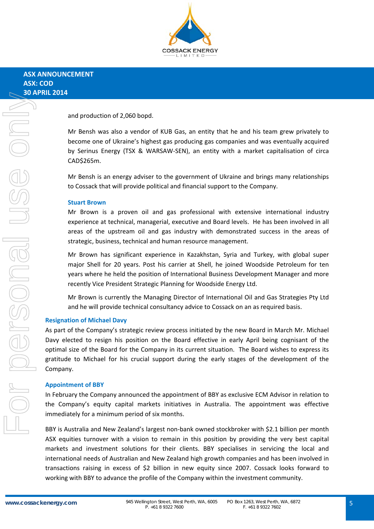

and production of 2,060 bopd.

Mr Bensh was also a vendor of KUB Gas, an entity that he and his team grew privately to become one of Ukraine's highest gas producing gas companies and was eventually acquired by Serinus Energy (TSX & WARSAW‐SEN), an entity with a market capitalisation of circa CAD\$265m.

Mr Bensh is an energy adviser to the government of Ukraine and brings many relationships to Cossack that will provide political and financial support to the Company.

#### **Stuart Brown**

Mr Brown is a proven oil and gas professional with extensive international industry experience at technical, managerial, executive and Board levels. He has been involved in all areas of the upstream oil and gas industry with demonstrated success in the areas of strategic, business, technical and human resource management.

Mr Brown has significant experience in Kazakhstan, Syria and Turkey, with global super major Shell for 20 years. Post his carrier at Shell, he joined Woodside Petroleum for ten years where he held the position of International Business Development Manager and more recently Vice President Strategic Planning for Woodside Energy Ltd.

Mr Brown is currently the Managing Director of International Oil and Gas Strategies Pty Ltd and he will provide technical consultancy advice to Cossack on an as required basis.

#### **Resignation of Michael Davy**

As part of the Company's strategic review process initiated by the new Board in March Mr. Michael Davy elected to resign his position on the Board effective in early April being cognisant of the optimal size of the Board for the Company in its current situation. The Board wishes to express its gratitude to Michael for his crucial support during the early stages of the development of the Company.

#### **Appointment of BBY**

In February the Company announced the appointment of BBY as exclusive ECM Advisor in relation to the Company's equity capital markets initiatives in Australia. The appointment was effective immediately for a minimum period of six months.

BBY is Australia and New Zealand's largest non‐bank owned stockbroker with \$2.1 billion per month ASX equities turnover with a vision to remain in this position by providing the very best capital markets and investment solutions for their clients. BBY specialises in servicing the local and international needs of Australian and New Zealand high growth companies and has been involved in transactions raising in excess of \$2 billion in new equity since 2007. Cossack looks forward to working with BBY to advance the profile of the Company within the investment community.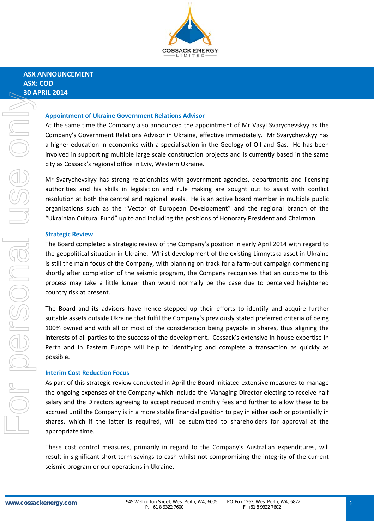

## **ASX ANNOUNCEMENT ASX: COD 30 APRIL 2014**

#### **Appointment of Ukraine Government Relations Advisor**

At the same time the Company also announced the appointment of Mr Vasyl Svarychevskyy as the Company's Government Relations Advisor in Ukraine, effective immediately. Mr Svarychevskyy has a higher education in economics with a specialisation in the Geology of Oil and Gas. He has been involved in supporting multiple large scale construction projects and is currently based in the same city as Cossack's regional office in Lviv, Western Ukraine.

Mr Svarychevskyy has strong relationships with government agencies, departments and licensing authorities and his skills in legislation and rule making are sought out to assist with conflict resolution at both the central and regional levels. He is an active board member in multiple public organisations such as the "Vector of European Development" and the regional branch of the "Ukrainian Cultural Fund" up to and including the positions of Honorary President and Chairman.

#### **Strategic Review**

The Board completed a strategic review of the Company's position in early April 2014 with regard to the geopolitical situation in Ukraine. Whilst development of the existing Limnytska asset in Ukraine is still the main focus of the Company, with planning on track for a farm‐out campaign commencing shortly after completion of the seismic program, the Company recognises that an outcome to this process may take a little longer than would normally be the case due to perceived heightened country risk at present.

The Board and its advisors have hence stepped up their efforts to identify and acquire further suitable assets outside Ukraine that fulfil the Company's previously stated preferred criteria of being 100% owned and with all or most of the consideration being payable in shares, thus aligning the interests of all parties to the success of the development. Cossack's extensive in‐house expertise in Perth and in Eastern Europe will help to identifying and complete a transaction as quickly as possible.

#### **Interim Cost Reduction Focus**

As part of this strategic review conducted in April the Board initiated extensive measures to manage the ongoing expenses of the Company which include the Managing Director electing to receive half salary and the Directors agreeing to accept reduced monthly fees and further to allow these to be accrued until the Company is in a more stable financial position to pay in either cash or potentially in shares, which if the latter is required, will be submitted to shareholders for approval at the appropriate time.

These cost control measures, primarily in regard to the Company's Australian expenditures, will result in significant short term savings to cash whilst not compromising the integrity of the current seismic program or our operations in Ukraine.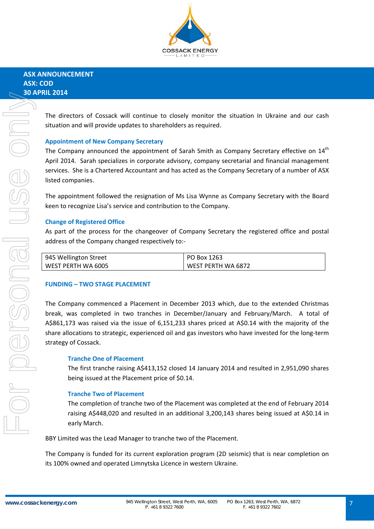

The directors of Cossack will continue to closely monitor the situation In Ukraine and our cash situation and will provide updates to shareholders as required.

## **Appointment of New Company Secretary**

The Company announced the appointment of Sarah Smith as Company Secretary effective on  $14<sup>th</sup>$ April 2014. Sarah specializes in corporate advisory, company secretarial and financial management services. She is a Chartered Accountant and has acted as the Company Secretary of a number of ASX listed companies.

The appointment followed the resignation of Ms Lisa Wynne as Company Secretary with the Board keen to recognize Lisa's service and contribution to the Company.

## **Change of Registered Office**

As part of the process for the changeover of Company Secretary the registered office and postal address of the Company changed respectively to:‐

| 945 Wellington Street | PO Box 1263        |
|-----------------------|--------------------|
| l WEST PERTH WA 6005  | WEST PERTH WA 6872 |

#### **FUNDING – TWO STAGE PLACEMENT**

The Company commenced a Placement in December 2013 which, due to the extended Christmas break, was completed in two tranches in December/January and February/March. A total of A\$861,173 was raised via the issue of 6,151,233 shares priced at A\$0.14 with the majority of the share allocations to strategic, experienced oil and gas investors who have invested for the long-term strategy of Cossack.

#### **Tranche One of Placement**

The first tranche raising A\$413,152 closed 14 January 2014 and resulted in 2,951,090 shares being issued at the Placement price of \$0.14.

#### **Tranche Two of Placement**

The completion of tranche two of the Placement was completed at the end of February 2014 raising A\$448,020 and resulted in an additional 3,200,143 shares being issued at A\$0.14 in early March.

BBY Limited was the Lead Manager to tranche two of the Placement.

The Company is funded for its current exploration program (2D seismic) that is near completion on its 100% owned and operated Limnytska Licence in western Ukraine.